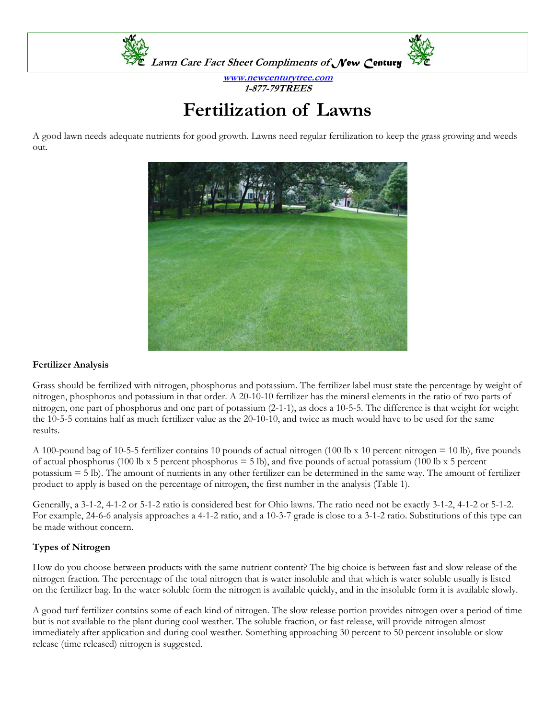

**www.newcenturytree.com 1-877-79TREES** 

# **Fertilization of Lawns**

A good lawn needs adequate nutrients for good growth. Lawns need regular fertilization to keep the grass growing and weeds out.



## **Fertilizer Analysis**

Grass should be fertilized with nitrogen, phosphorus and potassium. The fertilizer label must state the percentage by weight of nitrogen, phosphorus and potassium in that order. A 20-10-10 fertilizer has the mineral elements in the ratio of two parts of nitrogen, one part of phosphorus and one part of potassium (2-1-1), as does a 10-5-5. The difference is that weight for weight the 10-5-5 contains half as much fertilizer value as the 20-10-10, and twice as much would have to be used for the same results.

A 100-pound bag of 10-5-5 fertilizer contains 10 pounds of actual nitrogen (100 lb x 10 percent nitrogen = 10 lb), five pounds of actual phosphorus (100 lb x 5 percent phosphorus  $=$  5 lb), and five pounds of actual potassium (100 lb x 5 percent potassium = 5 lb). The amount of nutrients in any other fertilizer can be determined in the same way. The amount of fertilizer product to apply is based on the percentage of nitrogen, the first number in the analysis (Table 1).

Generally, a 3-1-2, 4-1-2 or 5-1-2 ratio is considered best for Ohio lawns. The ratio need not be exactly 3-1-2, 4-1-2 or 5-1-2. For example, 24-6-6 analysis approaches a 4-1-2 ratio, and a 10-3-7 grade is close to a 3-1-2 ratio. Substitutions of this type can be made without concern.

# **Types of Nitrogen**

How do you choose between products with the same nutrient content? The big choice is between fast and slow release of the nitrogen fraction. The percentage of the total nitrogen that is water insoluble and that which is water soluble usually is listed on the fertilizer bag. In the water soluble form the nitrogen is available quickly, and in the insoluble form it is available slowly.

A good turf fertilizer contains some of each kind of nitrogen. The slow release portion provides nitrogen over a period of time but is not available to the plant during cool weather. The soluble fraction, or fast release, will provide nitrogen almost immediately after application and during cool weather. Something approaching 30 percent to 50 percent insoluble or slow release (time released) nitrogen is suggested.